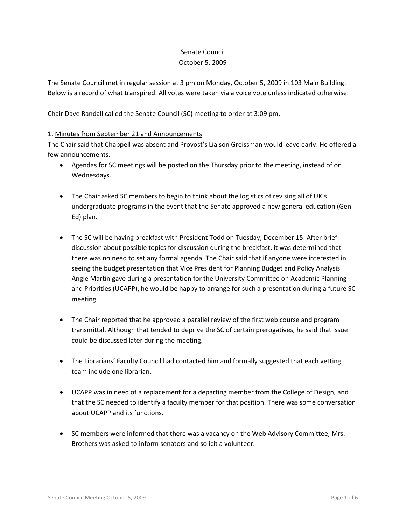## Senate Council October 5, 2009

The Senate Council met in regular session at 3 pm on Monday, October 5, 2009 in 103 Main Building. Below is a record of what transpired. All votes were taken via a voice vote unless indicated otherwise.

Chair Dave Randall called the Senate Council (SC) meeting to order at 3:09 pm.

## 1. Minutes from September 21 and Announcements

The Chair said that Chappell was absent and Provost's Liaison Greissman would leave early. He offered a few announcements.

- Agendas for SC meetings will be posted on the Thursday prior to the meeting, instead of on Wednesdays.
- The Chair asked SC members to begin to think about the logistics of revising all of UK's undergraduate programs in the event that the Senate approved a new general education (Gen Ed) plan.
- The SC will be having breakfast with President Todd on Tuesday, December 15. After brief discussion about possible topics for discussion during the breakfast, it was determined that there was no need to set any formal agenda. The Chair said that if anyone were interested in seeing the budget presentation that Vice President for Planning Budget and Policy Analysis Angie Martin gave during a presentation for the University Committee on Academic Planning and Priorities (UCAPP), he would be happy to arrange for such a presentation during a future SC meeting.
- The Chair reported that he approved a parallel review of the first web course and program transmittal. Although that tended to deprive the SC of certain prerogatives, he said that issue could be discussed later during the meeting.
- The Librarians' Faculty Council had contacted him and formally suggested that each vetting team include one librarian.
- UCAPP was in need of a replacement for a departing member from the College of Design, and that the SC needed to identify a faculty member for that position. There was some conversation about UCAPP and its functions.
- SC members were informed that there was a vacancy on the Web Advisory Committee; Mrs. Brothers was asked to inform senators and solicit a volunteer.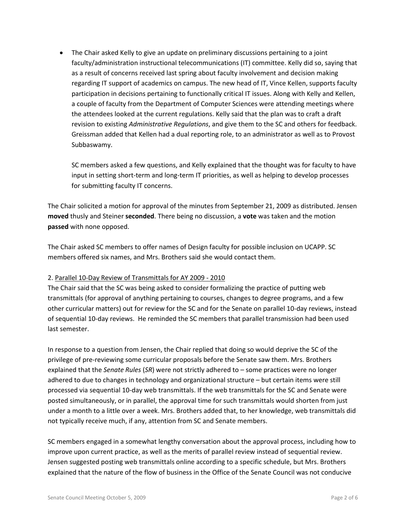• The Chair asked Kelly to give an update on preliminary discussions pertaining to a joint faculty/administration instructional telecommunications (IT) committee. Kelly did so, saying that as a result of concerns received last spring about faculty involvement and decision making regarding IT support of academics on campus. The new head of IT, Vince Kellen, supports faculty participation in decisions pertaining to functionally critical IT issues. Along with Kelly and Kellen, a couple of faculty from the Department of Computer Sciences were attending meetings where the attendees looked at the current regulations. Kelly said that the plan was to craft a draft revision to existing *Administrative Regulations*, and give them to the SC and others for feedback. Greissman added that Kellen had a dual reporting role, to an administrator as well as to Provost Subbaswamy.

SC members asked a few questions, and Kelly explained that the thought was for faculty to have input in setting short-term and long-term IT priorities, as well as helping to develop processes for submitting faculty IT concerns.

The Chair solicited a motion for approval of the minutes from September 21, 2009 as distributed. Jensen **moved** thusly and Steiner **seconded**. There being no discussion, a **vote** was taken and the motion **passed** with none opposed.

The Chair asked SC members to offer names of Design faculty for possible inclusion on UCAPP. SC members offered six names, and Mrs. Brothers said she would contact them.

### 2. Parallel 10-Day Review of Transmittals for AY 2009 - 2010

The Chair said that the SC was being asked to consider formalizing the practice of putting web transmittals (for approval of anything pertaining to courses, changes to degree programs, and a few other curricular matters) out for review for the SC and for the Senate on parallel 10-day reviews, instead of sequential 10-day reviews. He reminded the SC members that parallel transmission had been used last semester.

In response to a question from Jensen, the Chair replied that doing so would deprive the SC of the privilege of pre-reviewing some curricular proposals before the Senate saw them. Mrs. Brothers explained that the *Senate Rules* (*SR*) were not strictly adhered to – some practices were no longer adhered to due to changes in technology and organizational structure – but certain items were still processed via sequential 10-day web transmittals. If the web transmittals for the SC and Senate were posted simultaneously, or in parallel, the approval time for such transmittals would shorten from just under a month to a little over a week. Mrs. Brothers added that, to her knowledge, web transmittals did not typically receive much, if any, attention from SC and Senate members.

SC members engaged in a somewhat lengthy conversation about the approval process, including how to improve upon current practice, as well as the merits of parallel review instead of sequential review. Jensen suggested posting web transmittals online according to a specific schedule, but Mrs. Brothers explained that the nature of the flow of business in the Office of the Senate Council was not conducive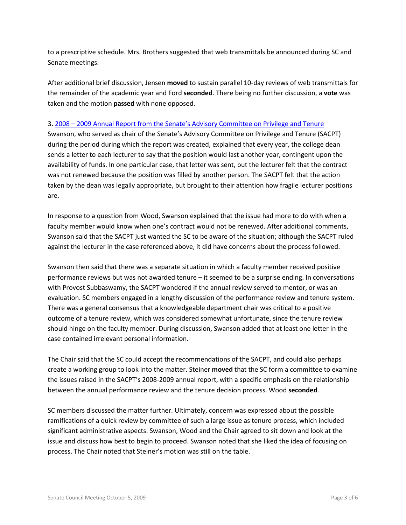to a prescriptive schedule. Mrs. Brothers suggested that web transmittals be announced during SC and Senate meetings.

After additional brief discussion, Jensen **moved** to sustain parallel 10-day reviews of web transmittals for the remainder of the academic year and Ford **seconded**. There being no further discussion, a **vote** was taken and the motion **passed** with none opposed.

### 3. 2008 – [2009 Annual Report from the Senate's Advisory Committee on Privilege and Tenure](http://www.uky.edu/Faculty/Senate/files/Meetings/20091005/Annual%20report%202008-2009.pdf)

Swanson, who served as chair of the Senate's Advisory Committee on Privilege and Tenure (SACPT) during the period during which the report was created, explained that every year, the college dean sends a letter to each lecturer to say that the position would last another year, contingent upon the availability of funds. In one particular case, that letter was sent, but the lecturer felt that the contract was not renewed because the position was filled by another person. The SACPT felt that the action taken by the dean was legally appropriate, but brought to their attention how fragile lecturer positions are.

In response to a question from Wood, Swanson explained that the issue had more to do with when a faculty member would know when one's contract would not be renewed. After additional comments, Swanson said that the SACPT just wanted the SC to be aware of the situation; although the SACPT ruled against the lecturer in the case referenced above, it did have concerns about the process followed.

Swanson then said that there was a separate situation in which a faculty member received positive performance reviews but was not awarded tenure – it seemed to be a surprise ending. In conversations with Provost Subbaswamy, the SACPT wondered if the annual review served to mentor, or was an evaluation. SC members engaged in a lengthy discussion of the performance review and tenure system. There was a general consensus that a knowledgeable department chair was critical to a positive outcome of a tenure review, which was considered somewhat unfortunate, since the tenure review should hinge on the faculty member. During discussion, Swanson added that at least one letter in the case contained irrelevant personal information.

The Chair said that the SC could accept the recommendations of the SACPT, and could also perhaps create a working group to look into the matter. Steiner **moved** that the SC form a committee to examine the issues raised in the SACPT's 2008-2009 annual report, with a specific emphasis on the relationship between the annual performance review and the tenure decision process. Wood **seconded**.

SC members discussed the matter further. Ultimately, concern was expressed about the possible ramifications of a quick review by committee of such a large issue as tenure process, which included significant administrative aspects. Swanson, Wood and the Chair agreed to sit down and look at the issue and discuss how best to begin to proceed. Swanson noted that she liked the idea of focusing on process. The Chair noted that Steiner's motion was still on the table.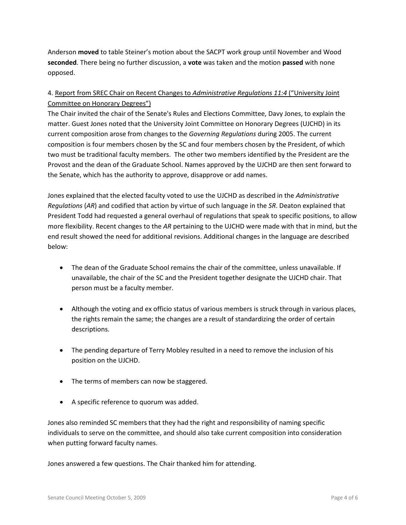Anderson **moved** to table Steiner's motion about the SACPT work group until November and Wood **seconded**. There being no further discussion, a **vote** was taken and the motion **passed** with none opposed.

# 4. Report from SREC Chair on Recent Changes to *Administrative Regulations 11:4* ("University Joint Committee on Honorary Degrees")

The Chair invited the chair of the Senate's Rules and Elections Committee, Davy Jones, to explain the matter. Guest Jones noted that the University Joint Committee on Honorary Degrees (UJCHD) in its current composition arose from changes to the *Governing Regulations* during 2005. The current composition is four members chosen by the SC and four members chosen by the President, of which two must be traditional faculty members. The other two members identified by the President are the Provost and the dean of the Graduate School. Names approved by the UJCHD are then sent forward to the Senate, which has the authority to approve, disapprove or add names.

Jones explained that the elected faculty voted to use the UJCHD as described in the *Administrative Regulations* (*AR*) and codified that action by virtue of such language in the *SR*. Deaton explained that President Todd had requested a general overhaul of regulations that speak to specific positions, to allow more flexibility. Recent changes to the *AR* pertaining to the UJCHD were made with that in mind, but the end result showed the need for additional revisions. Additional changes in the language are described below:

- The dean of the Graduate School remains the chair of the committee, unless unavailable. If unavailable, the chair of the SC and the President together designate the UJCHD chair. That person must be a faculty member.
- Although the voting and ex officio status of various members is struck through in various places, the rights remain the same; the changes are a result of standardizing the order of certain descriptions.
- The pending departure of Terry Mobley resulted in a need to remove the inclusion of his position on the UJCHD.
- The terms of members can now be staggered.
- A specific reference to quorum was added.

Jones also reminded SC members that they had the right and responsibility of naming specific individuals to serve on the committee, and should also take current composition into consideration when putting forward faculty names.

Jones answered a few questions. The Chair thanked him for attending.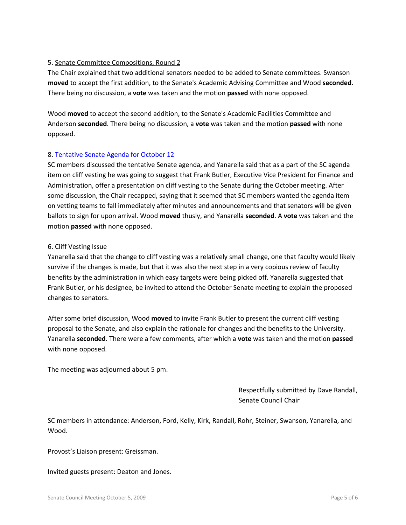## 5. Senate Committee Compositions, Round 2

The Chair explained that two additional senators needed to be added to Senate committees. Swanson **moved** to accept the first addition, to the Senate's Academic Advising Committee and Wood **seconded**. There being no discussion, a **vote** was taken and the motion **passed** with none opposed.

Wood **moved** to accept the second addition, to the Senate's Academic Facilities Committee and Anderson **seconded**. There being no discussion, a **vote** was taken and the motion **passed** with none opposed.

### 8. [Tentative Senate Agenda for October 12](http://www.uky.edu/Faculty/Senate/files/Meetings/20091005/Tentative%20Senate%20Agenda%20for%20October%2012.pdf)

SC members discussed the tentative Senate agenda, and Yanarella said that as a part of the SC agenda item on cliff vesting he was going to suggest that Frank Butler, Executive Vice President for Finance and Administration, offer a presentation on cliff vesting to the Senate during the October meeting. After some discussion, the Chair recapped, saying that it seemed that SC members wanted the agenda item on vetting teams to fall immediately after minutes and announcements and that senators will be given ballots to sign for upon arrival. Wood **moved** thusly, and Yanarella **seconded**. A **vote** was taken and the motion **passed** with none opposed.

### 6. Cliff Vesting Issue

Yanarella said that the change to cliff vesting was a relatively small change, one that faculty would likely survive if the changes is made, but that it was also the next step in a very copious review of faculty benefits by the administration in which easy targets were being picked off. Yanarella suggested that Frank Butler, or his designee, be invited to attend the October Senate meeting to explain the proposed changes to senators.

After some brief discussion, Wood **moved** to invite Frank Butler to present the current cliff vesting proposal to the Senate, and also explain the rationale for changes and the benefits to the University. Yanarella **seconded**. There were a few comments, after which a **vote** was taken and the motion **passed** with none opposed.

The meeting was adjourned about 5 pm.

Respectfully submitted by Dave Randall, Senate Council Chair

SC members in attendance: Anderson, Ford, Kelly, Kirk, Randall, Rohr, Steiner, Swanson, Yanarella, and Wood.

Provost's Liaison present: Greissman.

Invited guests present: Deaton and Jones.